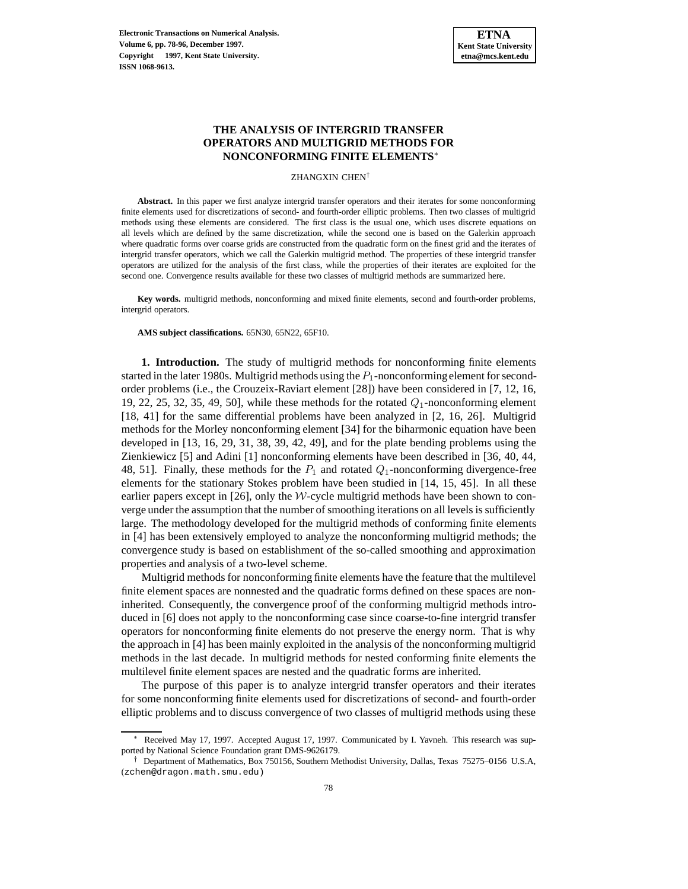# **THE ANALYSIS OF INTERGRID TRANSFER OPERATORS AND MULTIGRID METHODS FOR NONCONFORMING FINITE ELEMENTS**<sup>∗</sup>

#### ZHANGXIN CHEN†

**Abstract.** In this paper we first analyze intergrid transfer operators and their iterates for some nonconforming finite elements used for discretizations of second- and fourth-order elliptic problems. Then two classes of multigrid methods using these elements are considered. The first class is the usual one, which uses discrete equations on all levels which are defined by the same discretization, while the second one is based on the Galerkin approach where quadratic forms over coarse grids are constructed from the quadratic form on the finest grid and the iterates of intergrid transfer operators, which we call the Galerkin multigrid method. The properties of these intergrid transfer operators are utilized for the analysis of the first class, while the properties of their iterates are exploited for the second one. Convergence results available for these two classes of multigrid methods are summarized here.

**Key words.** multigrid methods, nonconforming and mixed finite elements, second and fourth-order problems, intergrid operators.

### **AMS subject classifications.** 65N30, 65N22, 65F10.

**1. Introduction.** The study of multigrid methods for nonconforming finite elements started in the later 1980s. Multigrid methods using the  $P_1$ -nonconforming element for secondorder problems (i.e., the Crouzeix-Raviart element [28]) have been considered in [7, 12, 16, 19, 22, 25, 32, 35, 49, 50], while these methods for the rotated  $Q_1$ -nonconforming element [18, 41] for the same differential problems have been analyzed in [2, 16, 26]. Multigrid methods for the Morley nonconforming element [34] for the biharmonic equation have been developed in [13, 16, 29, 31, 38, 39, 42, 49], and for the plate bending problems using the Zienkiewicz [5] and Adini [1] nonconforming elements have been described in [36, 40, 44, 48, 51]. Finally, these methods for the  $P_1$  and rotated  $Q_1$ -nonconforming divergence-free elements for the stationary Stokes problem have been studied in [14, 15, 45]. In all these earlier papers except in [26], only the  $W$ -cycle multigrid methods have been shown to converge under the assumption that the number of smoothing iterations on all levels is sufficiently large. The methodology developed for the multigrid methods of conforming finite elements in [4] has been extensively employed to analyze the nonconforming multigrid methods; the convergence study is based on establishment of the so-called smoothing and approximation properties and analysis of a two-level scheme.

Multigrid methods for nonconforming finite elements have the feature that the multilevel finite element spaces are nonnested and the quadratic forms defined on these spaces are noninherited. Consequently, the convergence proof of the conforming multigrid methods introduced in [6] does not apply to the nonconforming case since coarse-to-fine intergrid transfer operators for nonconforming finite elements do not preserve the energy norm. That is why the approach in [4] has been mainly exploited in the analysis of the nonconforming multigrid methods in the last decade. In multigrid methods for nested conforming finite elements the multilevel finite element spaces are nested and the quadratic forms are inherited.

The purpose of this paper is to analyze intergrid transfer operators and their iterates for some nonconforming finite elements used for discretizations of second- and fourth-order elliptic problems and to discuss convergence of two classes of multigrid methods using these

Received May 17, 1997. Accepted August 17, 1997. Communicated by I. Yavneh. This research was supported by National Science Foundation grant DMS-9626179.

<sup>†</sup> Department of Mathematics, Box 750156, Southern Methodist University, Dallas, Texas 75275–0156 U.S.A, (zchen@dragon.math.smu.edu)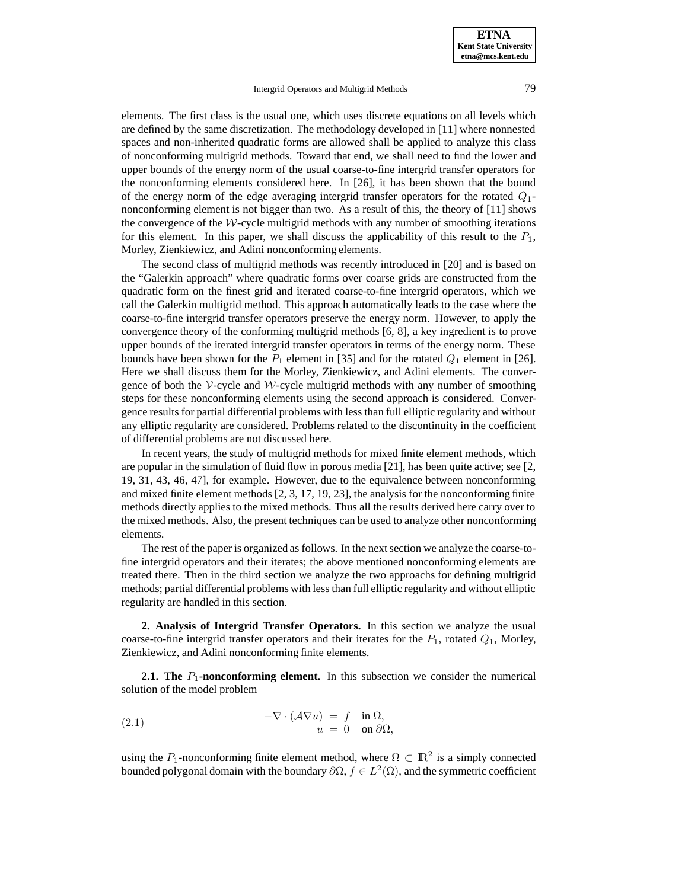**ETNA Kent State University etna@mcs.kent.edu**

## Intergrid Operators and Multigrid Methods 79

elements. The first class is the usual one, which uses discrete equations on all levels which are defined by the same discretization. The methodology developed in [11] where nonnested spaces and non-inherited quadratic forms are allowed shall be applied to analyze this class of nonconforming multigrid methods. Toward that end, we shall need to find the lower and upper bounds of the energy norm of the usual coarse-to-fine intergrid transfer operators for the nonconforming elements considered here. In [26], it has been shown that the bound of the energy norm of the edge averaging intergrid transfer operators for the rotated  $Q_1$ nonconforming element is not bigger than two. As a result of this, the theory of [11] shows the convergence of the  $W$ -cycle multigrid methods with any number of smoothing iterations for this element. In this paper, we shall discuss the applicability of this result to the  $P_1$ , Morley, Zienkiewicz, and Adini nonconforming elements.

The second class of multigrid methods was recently introduced in [20] and is based on the "Galerkin approach" where quadratic forms over coarse grids are constructed from the quadratic form on the finest grid and iterated coarse-to-fine intergrid operators, which we call the Galerkin multigrid method. This approach automatically leads to the case where the coarse-to-fine intergrid transfer operators preserve the energy norm. However, to apply the convergence theory of the conforming multigrid methods [6, 8], a key ingredient is to prove upper bounds of the iterated intergrid transfer operators in terms of the energy norm. These bounds have been shown for the  $P_1$  element in [35] and for the rotated  $Q_1$  element in [26]. Here we shall discuss them for the Morley, Zienkiewicz, and Adini elements. The convergence of both the  $\mathcal V$ -cycle and  $\mathcal W$ -cycle multigrid methods with any number of smoothing steps for these nonconforming elements using the second approach is considered. Convergence results for partial differential problems with less than full elliptic regularity and without any elliptic regularity are considered. Problems related to the discontinuity in the coefficient of differential problems are not discussed here.

In recent years, the study of multigrid methods for mixed finite element methods, which are popular in the simulation of fluid flow in porous media [21], has been quite active; see [2, 19, 31, 43, 46, 47], for example. However, due to the equivalence between nonconforming and mixed finite element methods [2, 3, 17, 19, 23], the analysis for the nonconforming finite methods directly applies to the mixed methods. Thus all the results derived here carry over to the mixed methods. Also, the present techniques can be used to analyze other nonconforming elements.

The rest of the paper is organized as follows. In the next section we analyze the coarse-tofine intergrid operators and their iterates; the above mentioned nonconforming elements are treated there. Then in the third section we analyze the two approachs for defining multigrid methods; partial differential problems with less than full elliptic regularity and without elliptic regularity are handled in this section.

**2. Analysis of Intergrid Transfer Operators.** In this section we analyze the usual coarse-to-fine intergrid transfer operators and their iterates for the  $P_1$ , rotated  $Q_1$ , Morley, Zienkiewicz, and Adini nonconforming finite elements.

**2.1. The**  $P_1$ **-nonconforming element.** In this subsection we consider the numerical solution of the model problem

(2.1) 
$$
-\nabla \cdot (\mathcal{A} \nabla u) = f \quad \text{in } \Omega, u = 0 \quad \text{on } \partial \Omega,
$$

using the P<sub>1</sub>-nonconforming finite element method, where  $\Omega \subset \mathbb{R}^2$  is a simply connected bounded polygonal domain with the boundary  $\partial\Omega$ ,  $f \in L^2(\Omega)$ , and the symmetric coefficient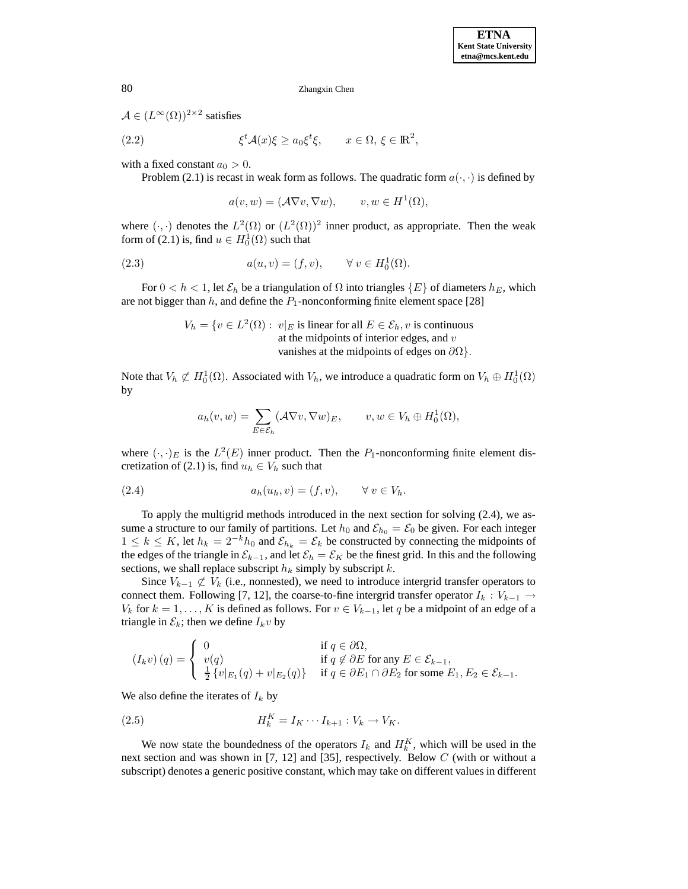$\mathcal{A} \in (L^{\infty}(\Omega))^{2 \times 2}$  satisfies

(2.2) 
$$
\xi^t \mathcal{A}(x) \xi \ge a_0 \xi^t \xi, \qquad x \in \Omega, \xi \in \mathbb{R}^2,
$$

with a fixed constant  $a_0 > 0$ .

Problem (2.1) is recast in weak form as follows. The quadratic form  $a(\cdot, \cdot)$  is defined by

 $a(v,w)=(\mathcal{A}\nabla v,\nabla w), \qquad v,w\in H^1(\Omega),$ 

where  $(\cdot, \cdot)$  denotes the  $L^2(\Omega)$  or  $(L^2(\Omega))^2$  inner product, as appropriate. Then the weak form of (2.1) is, find  $u \in H_0^1(\Omega)$  such that

(2.3) 
$$
a(u, v) = (f, v), \qquad \forall v \in H_0^1(\Omega).
$$

For  $0 < h < 1$ , let  $\mathcal{E}_h$  be a triangulation of  $\Omega$  into triangles  $\{E\}$  of diameters  $h_E$ , which are not bigger than  $h$ , and define the  $P_1$ -nonconforming finite element space [28]

$$
V_h = \{ v \in L^2(\Omega) : v|_E \text{ is linear for all } E \in \mathcal{E}_h, v \text{ is continuous at the midpoints of interior edges, and } v \text{ vanishes at the midpoints of edges on } \partial\Omega \}.
$$

Note that  $V_h \not\subset H_0^1(\Omega)$ . Associated with  $V_h$ , we introduce a quadratic form on  $V_h \oplus H_0^1(\Omega)$ by

$$
a_h(v, w) = \sum_{E \in \mathcal{E}_h} (\mathcal{A} \nabla v, \nabla w)_E, \qquad v, w \in V_h \oplus H_0^1(\Omega),
$$

where  $(\cdot, \cdot)_E$  is the  $L^2(E)$  inner product. Then the  $P_1$ -nonconforming finite element discretization of (2.1) is, find  $u_h \in V_h$  such that

$$
(2.4) \t\t ah(uh, v) = (f, v), \t\forall v \in Vh.
$$

To apply the multigrid methods introduced in the next section for solving (2.4), we assume a structure to our family of partitions. Let  $h_0$  and  $\mathcal{E}_{h_0} = \mathcal{E}_0$  be given. For each integer  $1 \le k \le K$ , let  $h_k = 2^{-k}h_0$  and  $\mathcal{E}_{h_k} = \mathcal{E}_k$  be constructed by connecting the midpoints of the edges of the triangle in  $\mathcal{E}_{k-1}$ , and let  $\mathcal{E}_h = \mathcal{E}_K$  be the finest grid. In this and the following sections, we shall replace subscript  $h_k$  simply by subscript  $k$ .

Since  $V_{k-1} \not\subset V_k$  (i.e., nonnested), we need to introduce intergrid transfer operators to connect them. Following [7, 12], the coarse-to-fine intergrid transfer operator  $I_k : V_{k-1} \to$  $V_k$  for  $k = 1, \ldots, K$  is defined as follows. For  $v \in V_{k-1}$ , let q be a midpoint of an edge of a triangle in  $\mathcal{E}_k$ ; then we define  $I_k v$  by

$$
(I_k v) (q) = \begin{cases} 0 & \text{if } q \in \partial \Omega, \\ v(q) & \text{if } q \notin \partial E \text{ for any } E \in \mathcal{E}_{k-1}, \\ \frac{1}{2} \{v|_{E_1}(q) + v|_{E_2}(q)\} & \text{if } q \in \partial E_1 \cap \partial E_2 \text{ for some } E_1, E_2 \in \mathcal{E}_{k-1}. \end{cases}
$$

We also define the iterates of  $I_k$  by

$$
(2.5) \t\t\t H_k^K = I_K \cdots I_{k+1} : V_k \to V_K.
$$

We now state the boundedness of the operators  $I_k$  and  $H_k^K$ , which will be used in the next section and was shown in [7, 12] and [35], respectively. Below C (with or without a subscript) denotes a generic positive constant, which may take on different values in different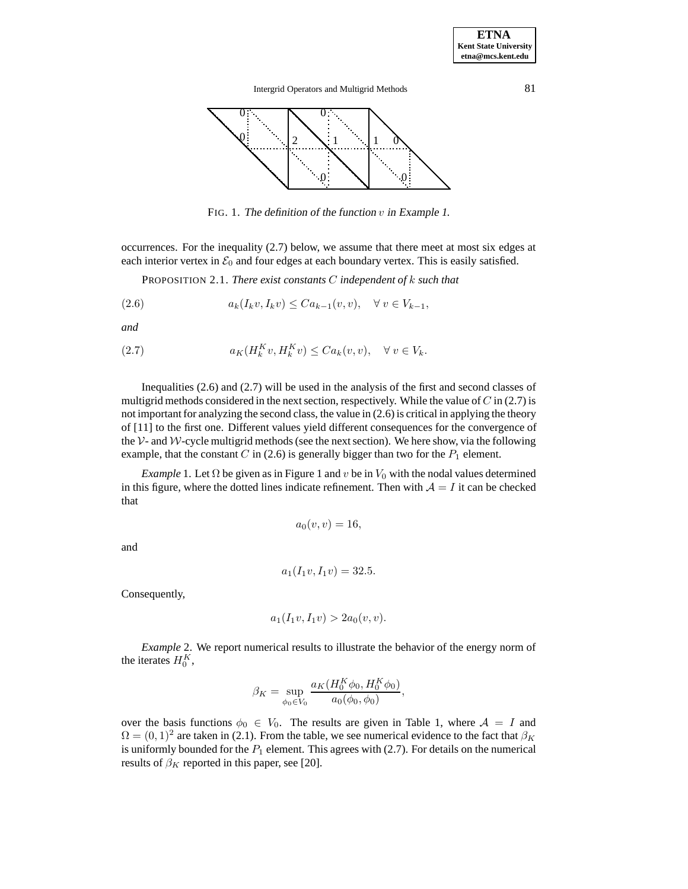

FIG. 1. The definition of the function  $v$  in Example 1.

occurrences. For the inequality (2.7) below, we assume that there meet at most six edges at each interior vertex in  $\mathcal{E}_0$  and four edges at each boundary vertex. This is easily satisfied.

PROPOSITION 2.1. *There exist constants* C *independent of* k *such that*

$$
(2.6) \t ak(Ikv, Ikv) \leq Cak-1(v, v), \quad \forall v \in Vk-1,
$$

*and*

(2.7) 
$$
a_K(H_k^K v, H_k^K v) \leq C a_k(v, v), \quad \forall \ v \in V_k.
$$

Inequalities (2.6) and (2.7) will be used in the analysis of the first and second classes of multigrid methods considered in the next section, respectively. While the value of  $C$  in (2.7) is not important for analyzing the second class, the value in (2.6) is critical in applying the theory of [11] to the first one. Different values yield different consequences for the convergence of the V- and W-cycle multigrid methods (see the next section). We here show, via the following example, that the constant C in (2.6) is generally bigger than two for the  $P_1$  element.

*Example* 1. Let  $\Omega$  be given as in Figure 1 and v be in  $V_0$  with the nodal values determined in this figure, where the dotted lines indicate refinement. Then with  $A = I$  it can be checked that

$$
a_0(v,v)=16,
$$

and

$$
a_1(I_1v, I_1v) = 32.5.
$$

Consequently,

$$
a_1(I_1v, I_1v) > 2a_0(v, v).
$$

*Example* 2. We report numerical results to illustrate the behavior of the energy norm of the iterates  $H_0^K$ ,

$$
\beta_K = \sup_{\phi_0 \in V_0} \frac{a_K (H_0^K \phi_0, H_0^K \phi_0)}{a_0(\phi_0, \phi_0)},
$$

over the basis functions  $\phi_0 \in V_0$ . The results are given in Table 1, where  $A = I$  and  $\Omega = (0, 1)^2$  are taken in (2.1). From the table, we see numerical evidence to the fact that  $\beta_K$ is uniformly bounded for the  $P_1$  element. This agrees with (2.7). For details on the numerical results of  $\beta_K$  reported in this paper, see [20].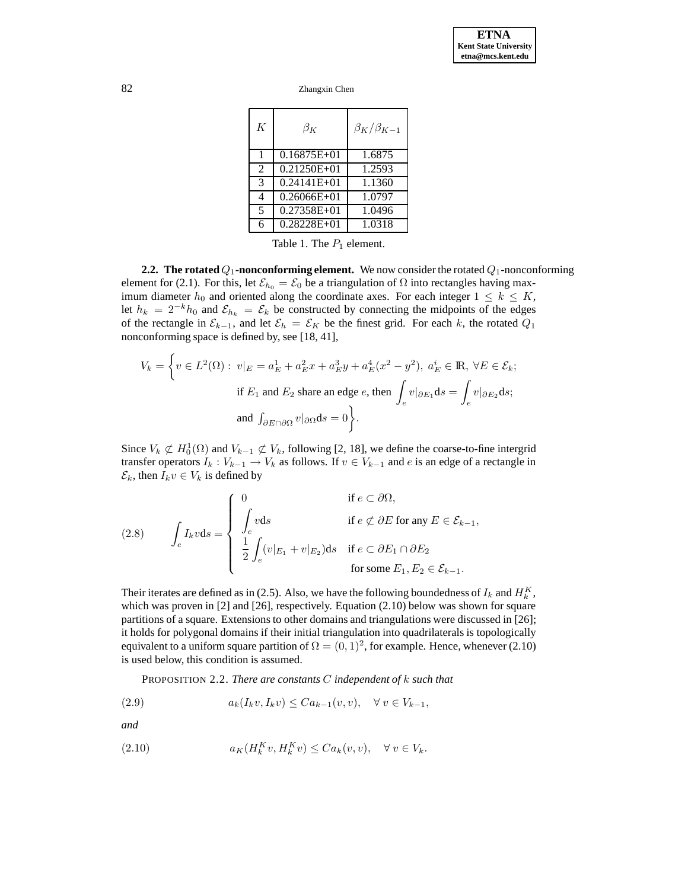| K              | $\beta_K$       | $\beta_K/\beta_{K-1}$ |
|----------------|-----------------|-----------------------|
| $\mathbf{1}$   | $0.16875E + 01$ | 1.6875                |
| $\overline{2}$ | $0.21250E + 01$ | 1.2593                |
| $\mathcal{R}$  | $0.24141E + 01$ | 1.1360                |
| 4              | $0.26066E + 01$ | 1.0797                |
| 5              | 0.27358E+01     | 1.0496                |
| 6              | 0.28228E+01     | 1.0318                |

Table 1. The  $P_1$  element.

**2.2. The rotated**  $Q_1$ -nonconforming element. We now consider the rotated  $Q_1$ -nonconforming element for (2.1). For this, let  $\mathcal{E}_{h_0} = \mathcal{E}_0$  be a triangulation of  $\Omega$  into rectangles having maximum diameter  $h_0$  and oriented along the coordinate axes. For each integer  $1 \leq k \leq K$ , let  $h_k = 2^{-k}h_0$  and  $\mathcal{E}_{h_k} = \mathcal{E}_k$  be constructed by connecting the midpoints of the edges of the rectangle in  $\mathcal{E}_{k-1}$ , and let  $\mathcal{E}_h = \mathcal{E}_K$  be the finest grid. For each k, the rotated  $Q_1$ nonconforming space is defined by, see [18, 41],

$$
V_k = \left\{ v \in L^2(\Omega) : \ v|_E = a_E^1 + a_E^2 x + a_E^3 y + a_E^4 (x^2 - y^2), \ a_E^i \in \mathbb{R}, \ \forall E \in \mathcal{E}_k; \right\}
$$
  
if  $E_1$  and  $E_2$  share an edge  $e$ , then  $\int_e v|_{\partial E_1} ds = \int_e v|_{\partial E_2} ds;$   
and  $\int_{\partial E \cap \partial \Omega} v|_{\partial \Omega} ds = 0 \right\}.$ 

Since  $V_k \not\subset H_0^1(\Omega)$  and  $V_{k-1} \not\subset V_k$ , following [2, 18], we define the coarse-to-fine intergrid transfer operators  $I_k : V_{k-1} \to V_k$  as follows. If  $v \in V_{k-1}$  and e is an edge of a rectangle in  $\mathcal{E}_k$ , then  $I_k v \in V_k$  is defined by

(2.8) 
$$
\int_{e} I_{k} v ds = \begin{cases} 0 & \text{if } e \subset \partial \Omega, \\ \int_{e} v ds & \text{if } e \notin \partial E \text{ for any } E \in \mathcal{E}_{k-1}, \\ \frac{1}{2} \int_{e} (v|_{E_{1}} + v|_{E_{2}}) ds & \text{if } e \subset \partial E_{1} \cap \partial E_{2} \\ \text{for some } E_{1}, E_{2} \in \mathcal{E}_{k-1}. \end{cases}
$$

Their iterates are defined as in (2.5). Also, we have the following boundedness of  $I_k$  and  $H_k^K$ , which was proven in [2] and [26], respectively. Equation (2.10) below was shown for square partitions of a square. Extensions to other domains and triangulations were discussed in [26]; it holds for polygonal domains if their initial triangulation into quadrilaterals is topologically equivalent to a uniform square partition of  $\Omega = (0, 1)^2$ , for example. Hence, whenever (2.10) is used below, this condition is assumed.

PROPOSITION 2.2. *There are constants* C *independent of* k *such that*

(2.9) 
$$
a_k(I_k v, I_k v) \leq C a_{k-1}(v, v), \quad \forall v \in V_{k-1},
$$

*and*

(2.10) 
$$
a_K(H_k^K v, H_k^K v) \leq C a_k(v, v), \quad \forall \ v \in V_k.
$$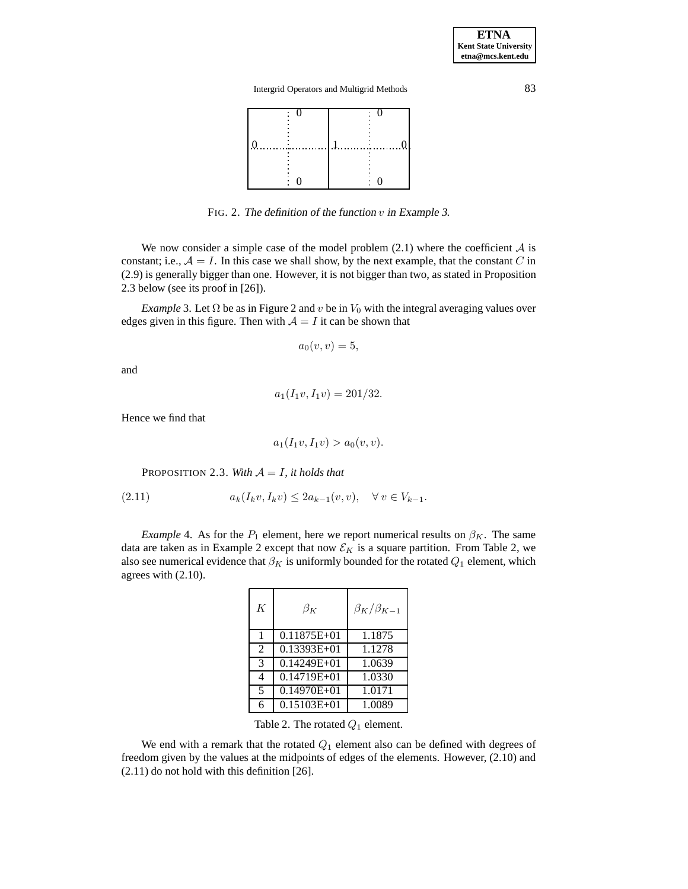

FIG. 2. The definition of the function  $v$  in Example 3.

We now consider a simple case of the model problem  $(2.1)$  where the coefficient A is constant; i.e.,  $A = I$ . In this case we shall show, by the next example, that the constant C in (2.9) is generally bigger than one. However, it is not bigger than two, as stated in Proposition 2.3 below (see its proof in [26]).

*Example* 3. Let  $\Omega$  be as in Figure 2 and v be in  $V_0$  with the integral averaging values over edges given in this figure. Then with  $A = I$  it can be shown that

$$
a_0(v,v)=5,
$$

and

$$
a_1(I_1v, I_1v) = 201/32.
$$

Hence we find that

$$
a_1(I_1v, I_1v) > a_0(v, v).
$$

PROPOSITION 2.3. With  $A = I$ , it holds that

(2.11) 
$$
a_k(I_k v, I_k v) \leq 2a_{k-1}(v, v), \quad \forall v \in V_{k-1}.
$$

*Example* 4. As for the  $P_1$  element, here we report numerical results on  $\beta_K$ . The same data are taken as in Example 2 except that now  $\mathcal{E}_K$  is a square partition. From Table 2, we also see numerical evidence that  $\beta_K$  is uniformly bounded for the rotated  $Q_1$  element, which agrees with (2.10).

| K              | $\beta_K$       | $\beta_K/\beta_{K-1}$ |
|----------------|-----------------|-----------------------|
| $\mathbf{1}$   | $0.11875E+01$   | 1.1875                |
| 2              | $0.13393E+01$   | 1.1278                |
| 3              | $0.14249E + 01$ | 1.0639                |
| $\overline{4}$ | $0.14719E+01$   | 1.0330                |
| 5              | $0.14970E + 01$ | 1.0171                |
| 6              | $0.15103E + 01$ | 1.0089                |

Table 2. The rotated  $Q_1$  element.

We end with a remark that the rotated  $Q_1$  element also can be defined with degrees of freedom given by the values at the midpoints of edges of the elements. However, (2.10) and (2.11) do not hold with this definition [26].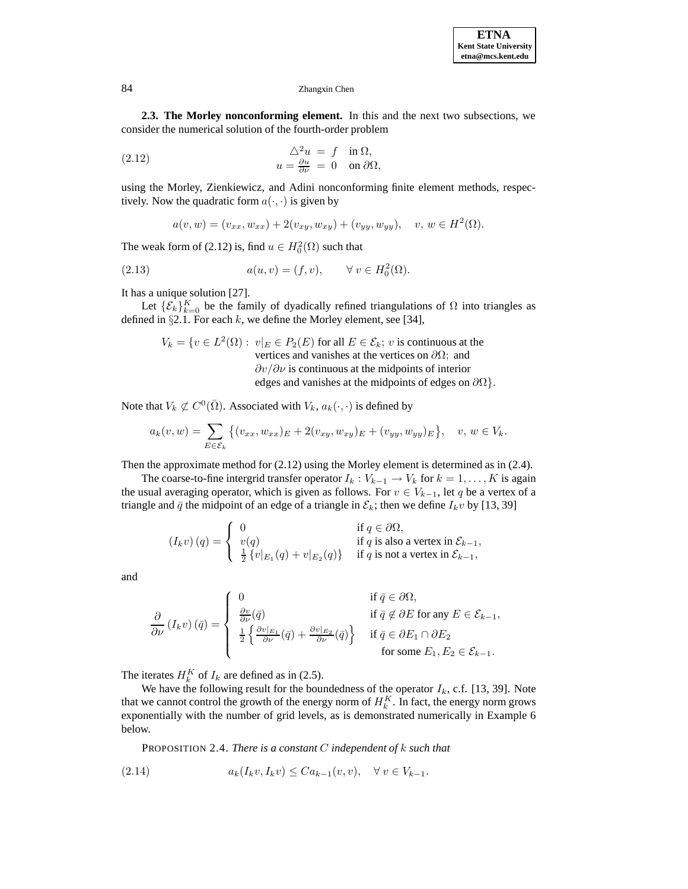**2.3. The Morley nonconforming element.** In this and the next two subsections, we consider the numerical solution of the fourth-order problem

(2.12) 
$$
\Delta^2 u = f \quad \text{in } \Omega, u = \frac{\partial u}{\partial \nu} = 0 \quad \text{on } \partial \Omega,
$$

using the Morley, Zienkiewicz, and Adini nonconforming finite element methods, respectively. Now the quadratic form  $a(\cdot, \cdot)$  is given by

$$
a(v, w) = (v_{xx}, w_{xx}) + 2(v_{xy}, w_{xy}) + (v_{yy}, w_{yy}), \quad v, w \in H^{2}(\Omega).
$$

The weak form of (2.12) is, find  $u \in H_0^2(\Omega)$  such that

(2.13) 
$$
a(u, v) = (f, v), \quad \forall v \in H_0^2(\Omega).
$$

It has a unique solution [27].

Let  $\{\mathcal{E}_k\}_{k=0}^K$  be the family of dyadically refined triangulations of  $\Omega$  into triangles as defined in  $\S 2.1$ . For each k, we define the Morley element, see [34],

$$
V_k = \{ v \in L^2(\Omega) : v|_E \in P_2(E) \text{ for all } E \in \mathcal{E}_k; v \text{ is continuous at the vertices and vanishes at the vertices on } \partial\Omega; \text{ and } \partial v/\partial v \text{ is continuous at the midpoints of interior edges and vanishes at the midpoints of edges on } \partial\Omega \}.
$$

Note that  $V_k \not\subset C^0(\overline{\Omega})$ . Associated with  $V_k$ ,  $a_k(\cdot, \cdot)$  is defined by

$$
a_k(v, w) = \sum_{E \in \mathcal{E}_k} \left\{ (v_{xx}, w_{xx})_E + 2(v_{xy}, w_{xy})_E + (v_{yy}, w_{yy})_E \right\}, \quad v, w \in V_k.
$$

Then the approximate method for (2.12) using the Morley element is determined as in (2.4).

The coarse-to-fine intergrid transfer operator  $I_k : V_{k-1} \to V_k$  for  $k = 1, \ldots, K$  is again the usual averaging operator, which is given as follows. For  $v \in V_{k-1}$ , let q be a vertex of a triangle and  $\bar{q}$  the midpoint of an edge of a triangle in  $\mathcal{E}_k$ ; then we define  $I_k v$  by [13, 39]

$$
(I_k v) (q) = \begin{cases} 0 & \text{if } q \in \partial \Omega, \\ v(q) & \text{if } q \text{ is also a vertex in } \mathcal{E}_{k-1}, \\ \frac{1}{2} \{v|_{E_1}(q) + v|_{E_2}(q)\} & \text{if } q \text{ is not a vertex in } \mathcal{E}_{k-1}, \end{cases}
$$

and

$$
\frac{\partial}{\partial \nu} (I_k v) (\bar{q}) = \begin{cases}\n0 & \text{if } \bar{q} \in \partial \Omega, \\
\frac{\partial v}{\partial \nu} (\bar{q}) & \text{if } \bar{q} \notin \partial E \text{ for any } E \in \mathcal{E}_{k-1}, \\
\frac{1}{2} \left\{ \frac{\partial v|_{E_1}}{\partial \nu} (\bar{q}) + \frac{\partial v|_{E_2}}{\partial \nu} (\bar{q}) \right\} & \text{if } \bar{q} \in \partial E_1 \cap \partial E_2 \\
\text{for some } E_1, E_2 \in \mathcal{E}_{k-1}.\n\end{cases}
$$

The iterates  $H_k^K$  of  $I_k$  are defined as in (2.5).

We have the following result for the boundedness of the operator  $I_k$ , c.f. [13, 39]. Note that we cannot control the growth of the energy norm of  $H_k^K$ . In fact, the energy norm grows exponentially with the number of grid levels, as is demonstrated numerically in Example 6 below.

PROPOSITION 2.4. *There is a constant* C *independent of* k *such that*

(2.14) 
$$
a_k(I_k v, I_k v) \leq C a_{k-1}(v, v), \quad \forall \ v \in V_{k-1}.
$$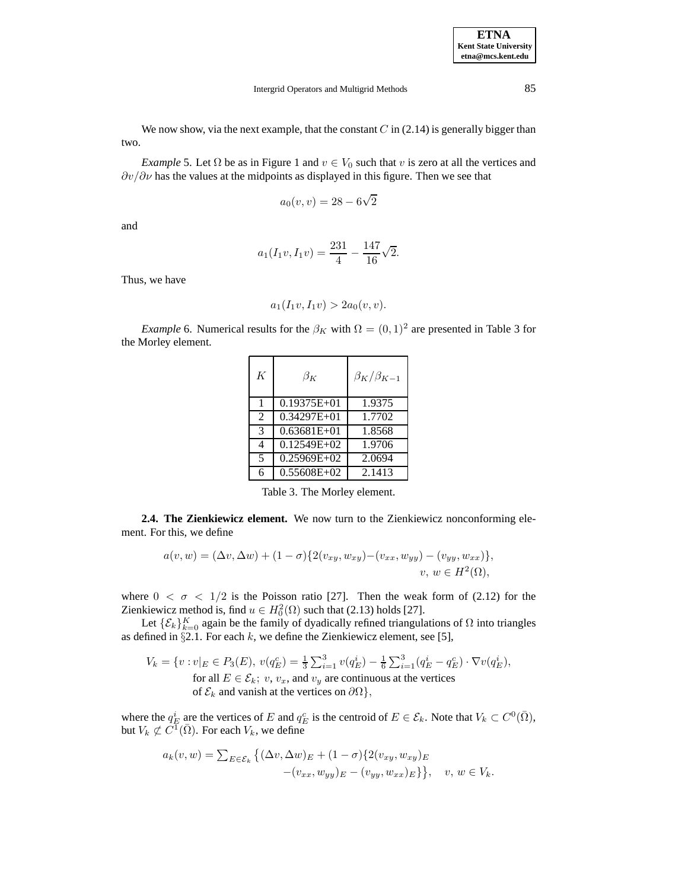We now show, via the next example, that the constant  $C$  in (2.14) is generally bigger than two.

*Example* 5. Let  $\Omega$  be as in Figure 1 and  $v \in V_0$  such that v is zero at all the vertices and  $\partial v/\partial \nu$  has the values at the midpoints as displayed in this figure. Then we see that

$$
a_0(v, v) = 28 - 6\sqrt{2}
$$

and

$$
a_1(I_1v, I_1v) = \frac{231}{4} - \frac{147}{16}\sqrt{2}.
$$

Thus, we have

$$
a_1(I_1v, I_1v) > 2a_0(v, v).
$$

*Example* 6. Numerical results for the  $\beta_K$  with  $\Omega = (0, 1)^2$  are presented in Table 3 for the Morley element.

| K              | $\beta_K$       | $\beta_K/\beta_{K-1}$ |
|----------------|-----------------|-----------------------|
| $\mathbf{1}$   | $0.19375E + 01$ | 1.9375                |
| $\mathfrak{D}$ | $0.34297E+01$   | 1.7702                |
| 3              | $0.63681E+01$   | 1.8568                |
| 4              | $0.12549E+02$   | 1.9706                |
| 5              | $0.25969E+02$   | 2.0694                |
| 6              | 0.55608E+02     | 2.1413                |

Table 3. The Morley element.

**2.4. The Zienkiewicz element.** We now turn to the Zienkiewicz nonconforming element. For this, we define

$$
a(v, w) = (\Delta v, \Delta w) + (1 - \sigma) \{ 2(v_{xy}, w_{xy}) - (v_{xx}, w_{yy}) - (v_{yy}, w_{xx}) \},
$$
  

$$
v, w \in H^2(\Omega),
$$

where  $0 < \sigma < 1/2$  is the Poisson ratio [27]. Then the weak form of (2.12) for the Zienkiewicz method is, find  $u \in H_0^2(\Omega)$  such that (2.13) holds [27].

Let  $\{\mathcal{E}_k\}_{k=0}^K$  again be the family of dyadically refined triangulations of  $\Omega$  into triangles as defined in  $\S 2.1$ . For each k, we define the Zienkiewicz element, see [5],

$$
V_k = \{v : v|_E \in P_3(E), v(q_E^c) = \frac{1}{3} \sum_{i=1}^3 v(q_E^i) - \frac{1}{6} \sum_{i=1}^3 (q_E^i - q_E^c) \cdot \nabla v(q_E^i),
$$
  
for all  $E \in \mathcal{E}_k$ ;  $v, v_x$ , and  $v_y$  are continuous at the vertices  
of  $\mathcal{E}_k$  and vanish at the vertices on  $\partial\Omega\}$ ,

where the  $q_E^i$  are the vertices of E and  $q_E^c$  is the centroid of  $E \in \mathcal{E}_k$ . Note that  $V_k \subset C^0(\bar{\Omega})$ , but  $V_k \not\subset C^{\overline{1}}(\overline{\Omega})$ . For each  $V_k$ , we define

$$
a_k(v, w) = \sum_{E \in \mathcal{E}_k} \left\{ (\Delta v, \Delta w)_E + (1 - \sigma) \{ 2(v_{xy}, w_{xy})_E - (v_{xy}, w_{xy})_E\} \right\}, \quad v, w \in V_k.
$$

**ETNA Kent State University etna@mcs.kent.edu**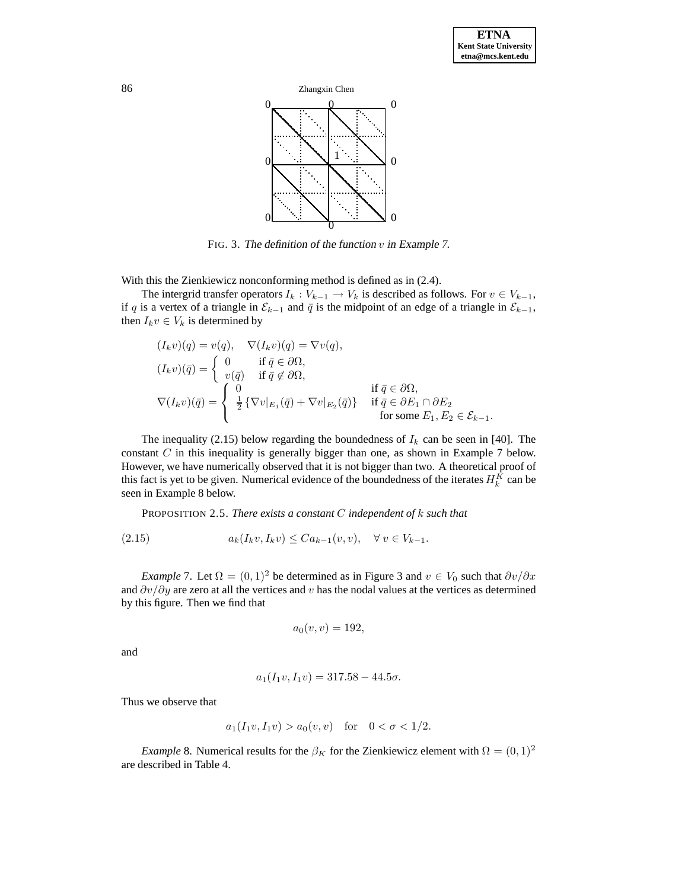

FIG. 3. The definition of the function  $v$  in Example 7.

With this the Zienkiewicz nonconforming method is defined as in (2.4).

The intergrid transfer operators  $I_k : V_{k-1} \to V_k$  is described as follows. For  $v \in V_{k-1}$ , if q is a vertex of a triangle in  $\mathcal{E}_{k-1}$  and  $\bar{q}$  is the midpoint of an edge of a triangle in  $\mathcal{E}_{k-1}$ , then  $I_k v \in V_k$  is determined by

$$
(I_k v)(q) = v(q), \quad \nabla (I_k v)(q) = \nabla v(q),
$$
  
\n
$$
(I_k v)(\bar{q}) = \begin{cases} 0 & \text{if } \bar{q} \in \partial \Omega, \\ v(\bar{q}) & \text{if } \bar{q} \notin \partial \Omega, \end{cases}
$$
  
\n
$$
\nabla (I_k v)(\bar{q}) = \begin{cases} 0 & \text{if } \bar{q} \in \partial \Omega, \\ \frac{1}{2} \{ \nabla v|_{E_1}(\bar{q}) + \nabla v|_{E_2}(\bar{q}) \} & \text{if } \bar{q} \in \partial E_1 \cap \partial E_2 \\ \text{for some } E_1, E_2 \in \mathcal{E}_{k-1}. \end{cases}
$$

The inequality (2.15) below regarding the boundedness of  $I_k$  can be seen in [40]. The constant  $C$  in this inequality is generally bigger than one, as shown in Example 7 below. However, we have numerically observed that it is not bigger than two. A theoretical proof of this fact is yet to be given. Numerical evidence of the boundedness of the iterates  $H_k^K$  can be seen in Example 8 below.

PROPOSITION 2.5. *There exists a constant* C *independent of* k *such that*

(2.15) 
$$
a_k(I_k v, I_k v) \leq C a_{k-1}(v, v), \quad \forall \ v \in V_{k-1}.
$$

*Example* 7. Let  $\Omega = (0, 1)^2$  be determined as in Figure 3 and  $v \in V_0$  such that  $\partial v / \partial x$ and  $\partial v/\partial y$  are zero at all the vertices and v has the nodal values at the vertices as determined by this figure. Then we find that

$$
a_0(v,v)=192,
$$

and

$$
a_1(I_1v, I_1v) = 317.58 - 44.5\sigma.
$$

Thus we observe that

$$
a_1(I_1v, I_1v) > a_0(v, v)
$$
 for  $0 < \sigma < 1/2$ .

*Example* 8. Numerical results for the  $\beta_K$  for the Zienkiewicz element with  $\Omega = (0, 1)^2$ are described in Table 4.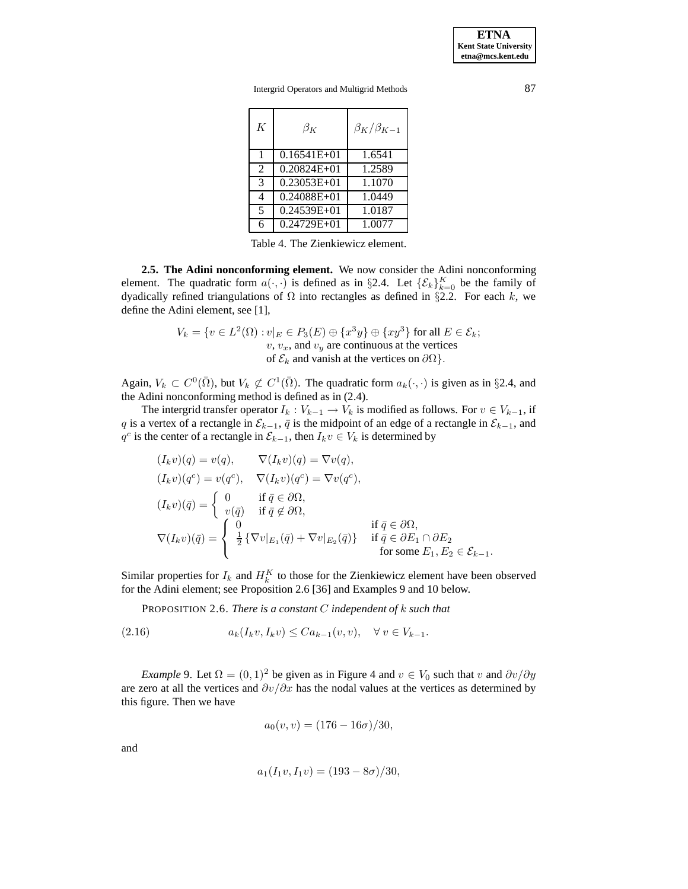**ETNA Kent State University etna@mcs.kent.edu**

Intergrid Operators and Multigrid Methods 87

| K              | $\beta_K$       | $\beta_K/\beta_{K-1}$ |
|----------------|-----------------|-----------------------|
| 1              | $0.16541E+01$   | 1.6541                |
| $\overline{2}$ | $0.20824E + 01$ | 1.2589                |
| 3              | $0.23053E+01$   | 1.1070                |
| 4              | $0.24088E + 01$ | 1.0449                |
| 5              | 0.24539E+01     | 1.0187                |
| 6              | $0.24729E + 01$ | 1.0077                |

Table 4. The Zienkiewicz element.

**2.5. The Adini nonconforming element.** We now consider the Adini nonconforming element. The quadratic form  $a(\cdot, \cdot)$  is defined as in §2.4. Let  $\{\mathcal{E}_k\}_{k=0}^K$  be the family of dyadically refined triangulations of  $\Omega$  into rectangles as defined in §2.2. For each k, we define the Adini element, see [1],

$$
V_k = \{ v \in L^2(\Omega) : v|_E \in P_3(E) \oplus \{x^3y\} \oplus \{xy^3\} \text{ for all } E \in \mathcal{E}_k; \newline v, v_x, \text{ and } v_y \text{ are continuous at the vertices of } \mathcal{E}_k \text{ and vanish at the vertices on } \partial\Omega \}.
$$

Again,  $V_k \subset C^0(\overline{\Omega})$ , but  $V_k \not\subset C^1(\overline{\Omega})$ . The quadratic form  $a_k(\cdot, \cdot)$  is given as in §2.4, and the Adini nonconforming method is defined as in (2.4).

The intergrid transfer operator  $I_k : V_{k-1} \to V_k$  is modified as follows. For  $v \in V_{k-1}$ , if q is a vertex of a rectangle in  $\mathcal{E}_{k-1}$ ,  $\bar{q}$  is the midpoint of an edge of a rectangle in  $\mathcal{E}_{k-1}$ , and  $q^c$  is the center of a rectangle in  $\mathcal{E}_{k-1}$ , then  $I_k v \in V_k$  is determined by

$$
(I_k v)(q) = v(q), \nabla (I_k v)(q) = \nabla v(q),
$$
  
\n
$$
(I_k v)(q^c) = v(q^c), \nabla (I_k v)(q^c) = \nabla v(q^c),
$$
  
\n
$$
(I_k v)(\bar{q}) = \begin{cases} 0 & \text{if } \bar{q} \in \partial\Omega, \\ v(\bar{q}) & \text{if } \bar{q} \notin \partial\Omega, \end{cases}
$$
  
\n
$$
\nabla (I_k v)(\bar{q}) = \begin{cases} 0 & \text{if } \bar{q} \in \partial\Omega, \\ \frac{1}{2} \{ \nabla v|_{E_1}(\bar{q}) + \nabla v|_{E_2}(\bar{q}) \} & \text{if } \bar{q} \in \partial E_1 \cap \partial E_2 \\ \text{for some } E_1, E_2 \in \mathcal{E}_{k-1}. \end{cases}
$$

Similar properties for  $I_k$  and  $H_k^K$  to those for the Zienkiewicz element have been observed for the Adini element; see Proposition 2.6 [36] and Examples 9 and 10 below.

PROPOSITION 2.6. *There is a constant* C *independent of* k *such that*

(2.16) 
$$
a_k(I_k v, I_k v) \leq C a_{k-1}(v, v), \quad \forall \ v \in V_{k-1}.
$$

*Example* 9. Let  $\Omega = (0, 1)^2$  be given as in Figure 4 and  $v \in V_0$  such that v and  $\partial v / \partial y$ are zero at all the vertices and  $\partial v/\partial x$  has the nodal values at the vertices as determined by this figure. Then we have

$$
a_0(v, v) = (176 - 16\sigma)/30,
$$

and

$$
a_1(I_1v, I_1v) = (193 - 8\sigma)/30,
$$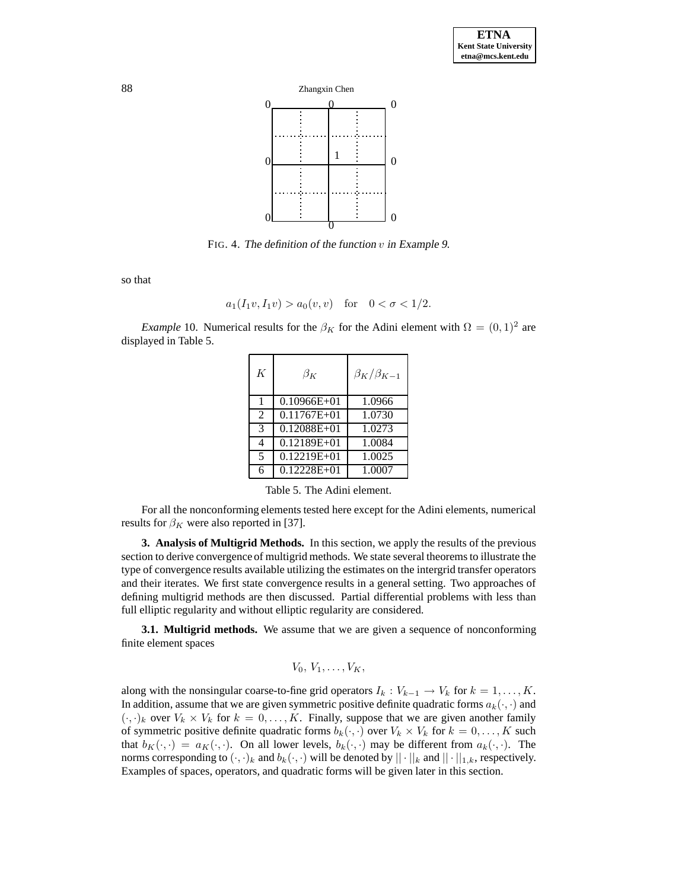

FIG. 4. The definition of the function  $v$  in Example 9.

so that

$$
a_1(I_1v, I_1v) > a_0(v, v)
$$
 for  $0 < \sigma < 1/2$ .

*Example* 10. Numerical results for the  $\beta_K$  for the Adini element with  $\Omega = (0, 1)^2$  are displayed in Table 5.

| K                        | $\beta_K$       | $\beta_K/\beta_{K-1}$ |
|--------------------------|-----------------|-----------------------|
| $\mathbf{1}$             | $0.10966E + 01$ | 1.0966                |
| $\mathfrak{D}$           | $0.11767E + 01$ | 1.0730                |
| 3                        | $0.12088E + 01$ | 1.0273                |
| 4                        | $0.12189E+01$   | 1.0084                |
| $\overline{\phantom{0}}$ | $0.12219E+01$   | 1.0025                |
| ŕ                        | $0.12228E + 01$ | 1.0007                |

Table 5. The Adini element.

For all the nonconforming elements tested here except for the Adini elements, numerical results for  $\beta_K$  were also reported in [37].

**3. Analysis of Multigrid Methods.** In this section, we apply the results of the previous section to derive convergence of multigrid methods. We state several theorems to illustrate the type of convergence results available utilizing the estimates on the intergrid transfer operators and their iterates. We first state convergence results in a general setting. Two approaches of defining multigrid methods are then discussed. Partial differential problems with less than full elliptic regularity and without elliptic regularity are considered.

**3.1. Multigrid methods.** We assume that we are given a sequence of nonconforming finite element spaces

$$
V_0, V_1, \ldots, V_K,
$$

along with the nonsingular coarse-to-fine grid operators  $I_k : V_{k-1} \to V_k$  for  $k = 1, \ldots, K$ . In addition, assume that we are given symmetric positive definite quadratic forms  $a_k(\cdot, \cdot)$  and  $(\cdot, \cdot)_k$  over  $V_k \times V_k$  for  $k = 0, \ldots, K$ . Finally, suppose that we are given another family of symmetric positive definite quadratic forms  $b_k(\cdot, \cdot)$  over  $V_k \times V_k$  for  $k = 0, \ldots, K$  such that  $b_K(\cdot, \cdot) = a_K(\cdot, \cdot)$ . On all lower levels,  $b_k(\cdot, \cdot)$  may be different from  $a_k(\cdot, \cdot)$ . The norms corresponding to  $(\cdot, \cdot)_k$  and  $b_k(\cdot, \cdot)$  will be denoted by  $|| \cdot ||_k$  and  $|| \cdot ||_{1,k}$ , respectively. Examples of spaces, operators, and quadratic forms will be given later in this section.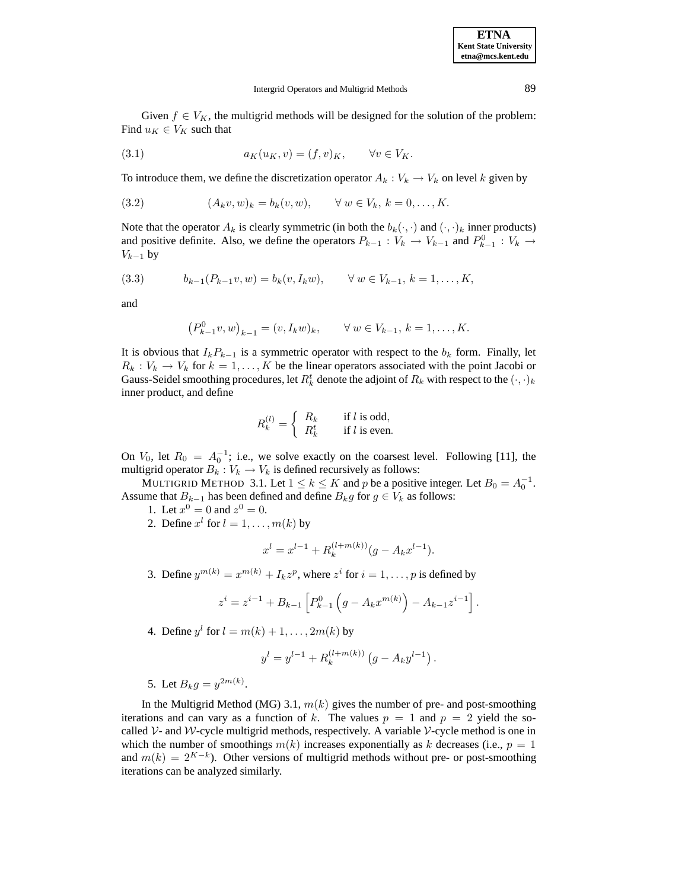Given  $f \in V_K$ , the multigrid methods will be designed for the solution of the problem: Find  $u_K \in V_K$  such that

(3.1) 
$$
a_K(u_K, v) = (f, v)_K, \quad \forall v \in V_K.
$$

To introduce them, we define the discretization operator  $A_k : V_k \to V_k$  on level k given by

(3.2) 
$$
(A_k v, w)_k = b_k(v, w), \quad \forall w \in V_k, k = 0, ..., K.
$$

Note that the operator  $A_k$  is clearly symmetric (in both the  $b_k(\cdot, \cdot)$  and  $(\cdot, \cdot)_k$  inner products) and positive definite. Also, we define the operators  $P_{k-1} : V_k \to V_{k-1}$  and  $P_{k-1}^0 : V_k \to V_{k-1}$  $V_{k-1}$  by

$$
(3.3) \t b_{k-1}(P_{k-1}v,w) = b_k(v,I_kw), \t \forall w \in V_{k-1}, k = 1,\ldots,K,
$$

and

$$
(P_{k-1}^0 v, w)_{k-1} = (v, I_k w)_k, \quad \forall w \in V_{k-1}, k = 1, ..., K.
$$

It is obvious that  $I_kP_{k-1}$  is a symmetric operator with respect to the  $b_k$  form. Finally, let  $R_k : V_k \to V_k$  for  $k = 1, ..., K$  be the linear operators associated with the point Jacobi or Gauss-Seidel smoothing procedures, let  $R_k^t$  denote the adjoint of  $R_k$  with respect to the  $(\cdot,\cdot)_k$ inner product, and define

$$
R_k^{(l)} = \begin{cases} R_k & \text{if } l \text{ is odd,} \\ R_k^t & \text{if } l \text{ is even.} \end{cases}
$$

On  $V_0$ , let  $R_0 = A_0^{-1}$ ; i.e., we solve exactly on the coarsest level. Following [11], the multigrid operator  $B_k : V_k \to V_k$  is defined recursively as follows:

MULTIGRID METHOD 3.1. Let  $1 \le k \le K$  and p be a positive integer. Let  $B_0 = A_0^{-1}$ . Assume that  $B_{k-1}$  has been defined and define  $B_k g$  for  $g \in V_k$  as follows:

- 1. Let  $x^0 = 0$  and  $z^0 = 0$ .
- 2. Define  $x^l$  for  $l = 1, \ldots, m(k)$  by

$$
x^{l} = x^{l-1} + R_k^{(l+m(k))}(g - A_k x^{l-1}).
$$

3. Define  $y^{m(k)} = x^{m(k)} + I_k z^p$ , where  $z^i$  for  $i = 1, \ldots, p$  is defined by

$$
z^{i} = z^{i-1} + B_{k-1} \left[ P_{k-1}^{0} \left( g - A_{k} x^{m(k)} \right) - A_{k-1} z^{i-1} \right].
$$

4. Define  $y^l$  for  $l = m(k) + 1, \ldots, 2m(k)$  by

$$
y^{l} = y^{l-1} + R_k^{(l+m(k))} (g - A_k y^{l-1}).
$$

5. Let  $B_k g = y^{2m(k)}$ .

In the Multigrid Method (MG) 3.1,  $m(k)$  gives the number of pre- and post-smoothing iterations and can vary as a function of k. The values  $p = 1$  and  $p = 2$  yield the socalled  $\mathcal V$ - and  $\mathcal W$ -cycle multigrid methods, respectively. A variable  $\mathcal V$ -cycle method is one in which the number of smoothings  $m(k)$  increases exponentially as k decreases (i.e.,  $p = 1$ ) and  $m(k)=2^{K-k}$ ). Other versions of multigrid methods without pre- or post-smoothing iterations can be analyzed similarly.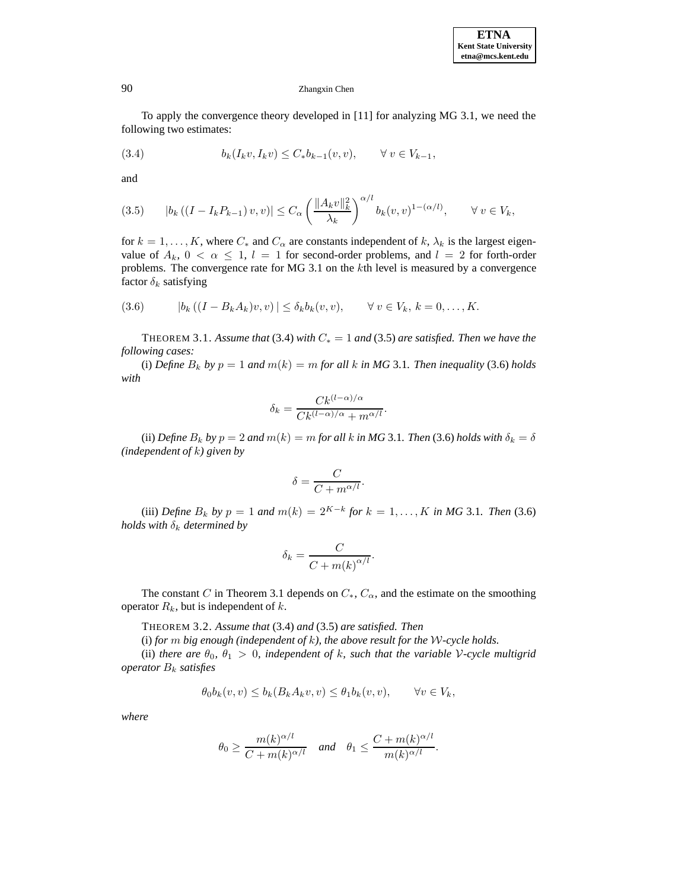To apply the convergence theory developed in [11] for analyzing MG 3.1, we need the following two estimates:

$$
(3.4) \t\t b_k(I_k v, I_k v) \le C_* b_{k-1}(v, v), \quad \forall v \in V_{k-1},
$$

and

$$
(3.5) \t |b_k((I - I_k P_{k-1})v, v)| \leq C_{\alpha} \left( \frac{\|A_k v\|_k^2}{\lambda_k} \right)^{\alpha/l} b_k(v, v)^{1-(\alpha/l)}, \quad \forall \ v \in V_k,
$$

for  $k = 1, \ldots, K$ , where  $C_*$  and  $C_{\alpha}$  are constants independent of k,  $\lambda_k$  is the largest eigenvalue of  $A_k$ ,  $0 < \alpha \leq 1$ ,  $l = 1$  for second-order problems, and  $l = 2$  for forth-order problems. The convergence rate for MG 3.1 on the kth level is measured by a convergence factor  $\delta_k$  satisfying

(3.6) 
$$
|b_k((I - B_k A_k)v, v)| \leq \delta_k b_k(v, v), \quad \forall v \in V_k, k = 0, ..., K.
$$

THEOREM 3.1. Assume that (3.4) with  $C_* = 1$  and (3.5) are satisfied. Then we have the *following cases:*

(i) *Define*  $B_k$  *by*  $p = 1$  *and*  $m(k) = m$  *for all* k *in* MG 3.1*. Then inequality* (3.6) *holds with*

$$
\delta_k = \frac{C k^{\left(l-\alpha\right)/\alpha}}{C k^{\left(l-\alpha\right)/\alpha} + m^{\alpha/l}}.
$$

(ii) *Define*  $B_k$  *by*  $p = 2$  *and*  $m(k) = m$  *for all*  $k$  *in MG* 3.1*. Then* (3.6) *holds with*  $\delta_k = \delta$ *(independent of* k*) given by*

$$
\delta = \frac{C}{C + m^{\alpha/l}}.
$$

(iii) *Define*  $B_k$  *by*  $p = 1$  *and*  $m(k) = 2^{K-k}$  *for*  $k = 1, ..., K$  *in MG* 3.1*. Then* (3.6) *holds with*  $\delta_k$  *determined by* 

$$
\delta_k = \frac{C}{C + m(k)^{\alpha/l}}.
$$

The constant C in Theorem 3.1 depends on  $C_*, C_{\alpha}$ , and the estimate on the smoothing operator  $R_k$ , but is independent of k.

THEOREM 3.2. *Assume that* (3.4) *and* (3.5) *are satisfied. Then*

(i) *for* m *big enough (independent of* k*), the above result for the* W*-cycle holds.*

(ii) *there are*  $\theta_0$ ,  $\theta_1 > 0$ , *independent of* k, such that the variable V-cycle multigrid *operator* B<sup>k</sup> *satisfies*

$$
\theta_0 b_k(v, v) \le b_k(B_k A_k v, v) \le \theta_1 b_k(v, v), \qquad \forall v \in V_k,
$$

*where*

$$
\theta_0 \ge \frac{m(k)^{\alpha/l}}{C + m(k)^{\alpha/l}} \quad \text{and} \quad \theta_1 \le \frac{C + m(k)^{\alpha/l}}{m(k)^{\alpha/l}}.
$$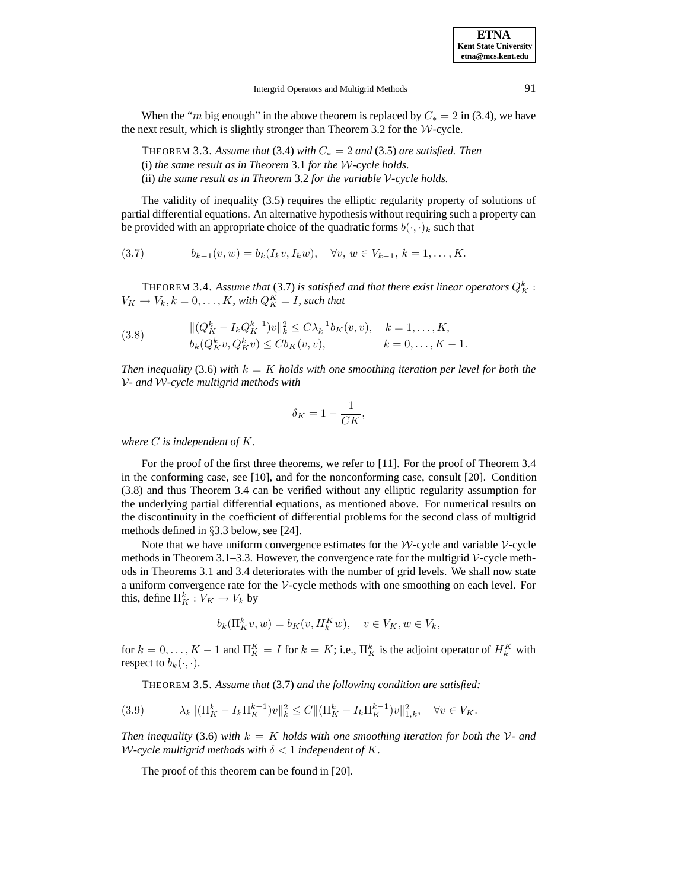When the "m big enough" in the above theorem is replaced by  $C_* = 2$  in (3.4), we have the next result, which is slightly stronger than Theorem 3.2 for the  $W$ -cycle.

THEOREM 3.3. Assume that (3.4) with  $C_* = 2$  and (3.5) are satisfied. Then (i) *the same result as in Theorem* 3.1 *for the* W*-cycle holds.* (ii) *the same result as in Theorem* 3.2 *for the variable* V*-cycle holds.*

The validity of inequality (3.5) requires the elliptic regularity property of solutions of partial differential equations. An alternative hypothesis without requiring such a property can be provided with an appropriate choice of the quadratic forms  $b(\cdot, \cdot)_k$  such that

$$
(3.7) \t\t b_{k-1}(v,w) = b_k(I_k v, I_k w), \quad \forall v, w \in V_{k-1}, k = 1, ..., K.
$$

THEOREM 3.4. Assume that  $(3.7)$  is satisfied and that there exist linear operators  $Q_K^k$  :  $V_K \to V_k, k = 0, \dots, K$ , with  $Q_K^K = I$ , such that

(3.8) 
$$
\| (Q_K^k - I_k Q_K^{k-1}) v \|_k^2 \le C \lambda_k^{-1} b_K(v, v), \quad k = 1, ..., K, b_k (Q_K^k v, Q_K^k v) \le C b_K(v, v), \qquad k = 0, ..., K - 1.
$$

*Then inequality* (3.6) *with*  $k = K$  *holds with one smoothing iteration per level for both the* V*- and* W*-cycle multigrid methods with*

$$
\delta_K = 1 - \frac{1}{CK},
$$

*where* C *is independent of* K*.*

For the proof of the first three theorems, we refer to [11]. For the proof of Theorem 3.4 in the conforming case, see [10], and for the nonconforming case, consult [20]. Condition (3.8) and thus Theorem 3.4 can be verified without any elliptic regularity assumption for the underlying partial differential equations, as mentioned above. For numerical results on the discontinuity in the coefficient of differential problems for the second class of multigrid methods defined in §3.3 below, see [24].

Note that we have uniform convergence estimates for the  $W$ -cycle and variable  $V$ -cycle methods in Theorem 3.1–3.3. However, the convergence rate for the multigrid  $\mathcal V$ -cycle methods in Theorems 3.1 and 3.4 deteriorates with the number of grid levels. We shall now state a uniform convergence rate for the V-cycle methods with one smoothing on each level. For this, define  $\Pi_K^k : V_K \to V_k$  by

$$
b_k(\Pi^k_K v, w) = b_K(v, H^K_k w), \quad v \in V_K, w \in V_k,
$$

for  $k = 0, ..., K - 1$  and  $\Pi_K^K = I$  for  $k = K$ ; i.e.,  $\Pi_K^k$  is the adjoint operator of  $H_k^K$  with respect to  $b_k(\cdot, \cdot)$ .

THEOREM 3.5. *Assume that* (3.7) *and the following condition are satisfied:*

$$
(3.9) \qquad \lambda_k \|\big(\Pi_K^k - I_k \Pi_K^{k-1}\big)v\|_k^2 \le C \|\big(\Pi_K^k - I_k \Pi_K^{k-1}\big)v\|_{1,k}^2, \quad \forall v \in V_K.
$$

*Then inequality* (3.6) with  $k = K$  *holds with one smoothing iteration for both the*  $V$ - and W-cycle multigrid methods with  $\delta < 1$  independent of K.

The proof of this theorem can be found in [20].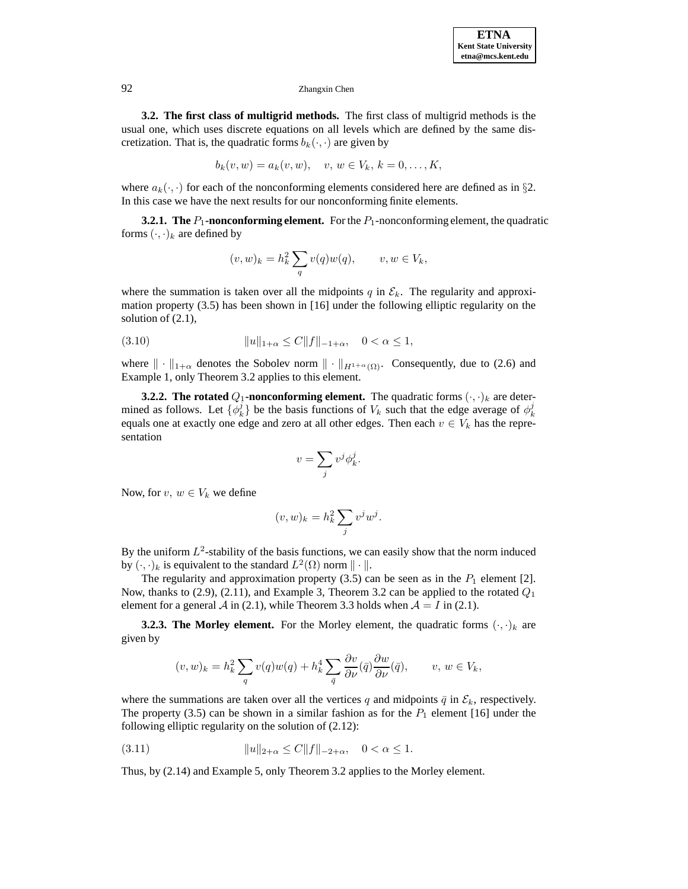**3.2. The first class of multigrid methods.** The first class of multigrid methods is the usual one, which uses discrete equations on all levels which are defined by the same discretization. That is, the quadratic forms  $b_k(\cdot, \cdot)$  are given by

$$
b_k(v, w) = a_k(v, w), \quad v, w \in V_k, k = 0, ..., K,
$$

where  $a_k(\cdot, \cdot)$  for each of the nonconforming elements considered here are defined as in §2. In this case we have the next results for our nonconforming finite elements.

**3.2.1. The**  $P_1$ **-nonconforming element.** For the  $P_1$ -nonconforming element, the quadratic forms  $(\cdot, \cdot)_k$  are defined by

$$
(v, w)_k = h_k^2 \sum_q v(q)w(q), \qquad v, w \in V_k,
$$

where the summation is taken over all the midpoints q in  $\mathcal{E}_k$ . The regularity and approximation property (3.5) has been shown in [16] under the following elliptic regularity on the solution of (2.1),

(3.10) 
$$
||u||_{1+\alpha} \le C||f||_{-1+\alpha}, \quad 0 < \alpha \le 1,
$$

where  $\|\cdot\|_{1+\alpha}$  denotes the Sobolev norm  $\|\cdot\|_{H^{1+\alpha}(\Omega)}$ . Consequently, due to (2.6) and Example 1, only Theorem 3.2 applies to this element.

**3.2.2.** The rotated  $Q_1$ -nonconforming element. The quadratic forms  $(\cdot, \cdot)_k$  are determined as follows. Let  $\{\phi_k^j\}$  be the basis functions of  $V_k$  such that the edge average of  $\phi_k^j$ equals one at exactly one edge and zero at all other edges. Then each  $v \in V_k$  has the representation

$$
v = \sum_{j} v^{j} \phi_{k}^{j}.
$$

Now, for  $v, w \in V_k$  we define

$$
(v, w)_k = h_k^2 \sum_j v^j w^j.
$$

By the uniform  $L^2$ -stability of the basis functions, we can easily show that the norm induced by  $(\cdot, \cdot)_k$  is equivalent to the standard  $L^2(\Omega)$  norm  $\|\cdot\|$ .

The regularity and approximation property  $(3.5)$  can be seen as in the  $P_1$  element [2]. Now, thanks to (2.9), (2.11), and Example 3, Theorem 3.2 can be applied to the rotated  $Q_1$ element for a general A in (2.1), while Theorem 3.3 holds when  $A = I$  in (2.1).

**3.2.3. The Morley element.** For the Morley element, the quadratic forms  $(\cdot, \cdot)_k$  are given by

$$
(v,w)_k = h_k^2 \sum_q v(q) w(q) + h_k^4 \sum_{\overline{q}} \frac{\partial v}{\partial \nu}(\overline{q}) \frac{\partial w}{\partial \nu}(\overline{q}), \qquad v, w \in V_k,
$$

where the summations are taken over all the vertices q and midpoints  $\bar{q}$  in  $\mathcal{E}_k$ , respectively. The property (3.5) can be shown in a similar fashion as for the  $P_1$  element [16] under the following elliptic regularity on the solution of (2.12):

(3.11) 
$$
||u||_{2+\alpha} \le C||f||_{-2+\alpha}, \quad 0 < \alpha \le 1.
$$

Thus, by (2.14) and Example 5, only Theorem 3.2 applies to the Morley element.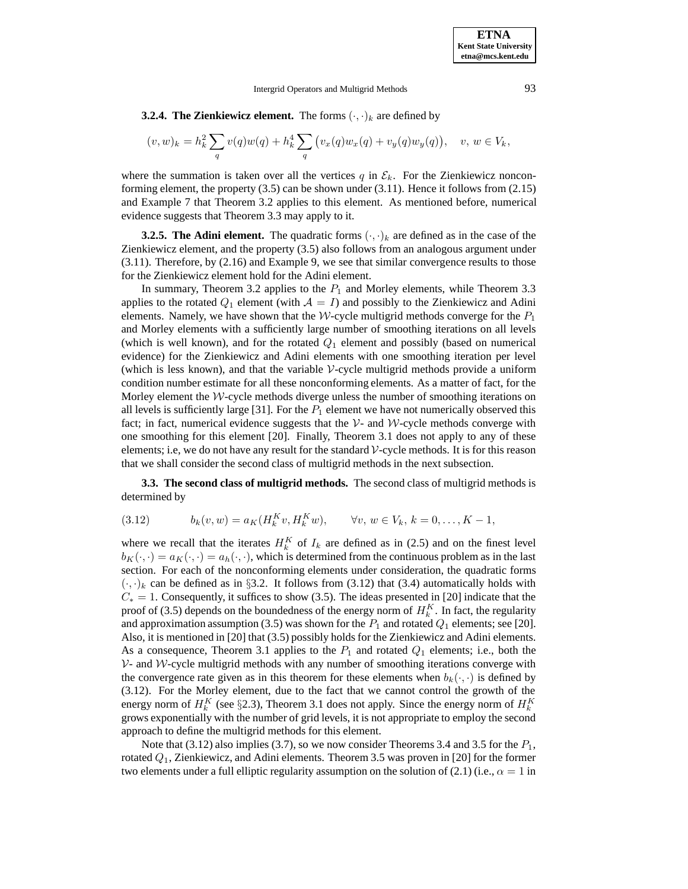**3.2.4. The Zienkiewicz element.** The forms  $(\cdot, \cdot)_k$  are defined by

$$
(v, w)_k = h_k^2 \sum_q v(q) w(q) + h_k^4 \sum_q (v_x(q) w_x(q) + v_y(q) w_y(q)), \quad v, w \in V_k,
$$

where the summation is taken over all the vertices q in  $\mathcal{E}_k$ . For the Zienkiewicz nonconforming element, the property (3.5) can be shown under (3.11). Hence it follows from (2.15) and Example 7 that Theorem 3.2 applies to this element. As mentioned before, numerical evidence suggests that Theorem 3.3 may apply to it.

**3.2.5. The Adini element.** The quadratic forms  $(\cdot, \cdot)_k$  are defined as in the case of the Zienkiewicz element, and the property (3.5) also follows from an analogous argument under  $(3.11)$ . Therefore, by  $(2.16)$  and Example 9, we see that similar convergence results to those for the Zienkiewicz element hold for the Adini element.

In summary, Theorem 3.2 applies to the  $P_1$  and Morley elements, while Theorem 3.3 applies to the rotated  $Q_1$  element (with  $A = I$ ) and possibly to the Zienkiewicz and Adini elements. Namely, we have shown that the W-cycle multigrid methods converge for the  $P_1$ and Morley elements with a sufficiently large number of smoothing iterations on all levels (which is well known), and for the rotated  $Q_1$  element and possibly (based on numerical evidence) for the Zienkiewicz and Adini elements with one smoothing iteration per level (which is less known), and that the variable  $\mathcal V$ -cycle multigrid methods provide a uniform condition number estimate for all these nonconforming elements. As a matter of fact, for the Morley element the  $W$ -cycle methods diverge unless the number of smoothing iterations on all levels is sufficiently large [31]. For the  $P_1$  element we have not numerically observed this fact; in fact, numerical evidence suggests that the  $\mathcal{V}$ - and  $\mathcal{W}$ -cycle methods converge with one smoothing for this element [20]. Finally, Theorem 3.1 does not apply to any of these elements; i.e, we do not have any result for the standard  $\mathcal V$ -cycle methods. It is for this reason that we shall consider the second class of multigrid methods in the next subsection.

**3.3. The second class of multigrid methods.** The second class of multigrid methods is determined by

(3.12) 
$$
b_k(v, w) = a_K(H_k^K v, H_k^K w), \quad \forall v, w \in V_k, k = 0, ..., K - 1,
$$

where we recall that the iterates  $H_k^K$  of  $I_k$  are defined as in (2.5) and on the finest level  $b_K(\cdot, \cdot) = a_K(\cdot, \cdot) = a_h(\cdot, \cdot)$ , which is determined from the continuous problem as in the last section. For each of the nonconforming elements under consideration, the quadratic forms  $(\cdot, \cdot)_k$  can be defined as in §3.2. It follows from (3.12) that (3.4) automatically holds with  $C_* = 1$ . Consequently, it suffices to show (3.5). The ideas presented in [20] indicate that the proof of (3.5) depends on the boundedness of the energy norm of  $H_k^K$ . In fact, the regularity and approximation assumption (3.5) was shown for the  $P_1$  and rotated  $Q_1$  elements; see [20]. Also, it is mentioned in [20] that (3.5) possibly holds for the Zienkiewicz and Adini elements. As a consequence, Theorem 3.1 applies to the  $P_1$  and rotated  $Q_1$  elements; i.e., both the  $V$ - and W-cycle multigrid methods with any number of smoothing iterations converge with the convergence rate given as in this theorem for these elements when  $b_k(\cdot, \cdot)$  is defined by (3.12). For the Morley element, due to the fact that we cannot control the growth of the energy norm of  $H_k^K$  (see §2.3), Theorem 3.1 does not apply. Since the energy norm of  $H_k^K$ grows exponentially with the number of grid levels, it is not appropriate to employ the second approach to define the multigrid methods for this element.

Note that (3.12) also implies (3.7), so we now consider Theorems 3.4 and 3.5 for the  $P_1$ , rotated  $Q_1$ , Zienkiewicz, and Adini elements. Theorem 3.5 was proven in [20] for the former two elements under a full elliptic regularity assumption on the solution of (2.1) (i.e.,  $\alpha = 1$  in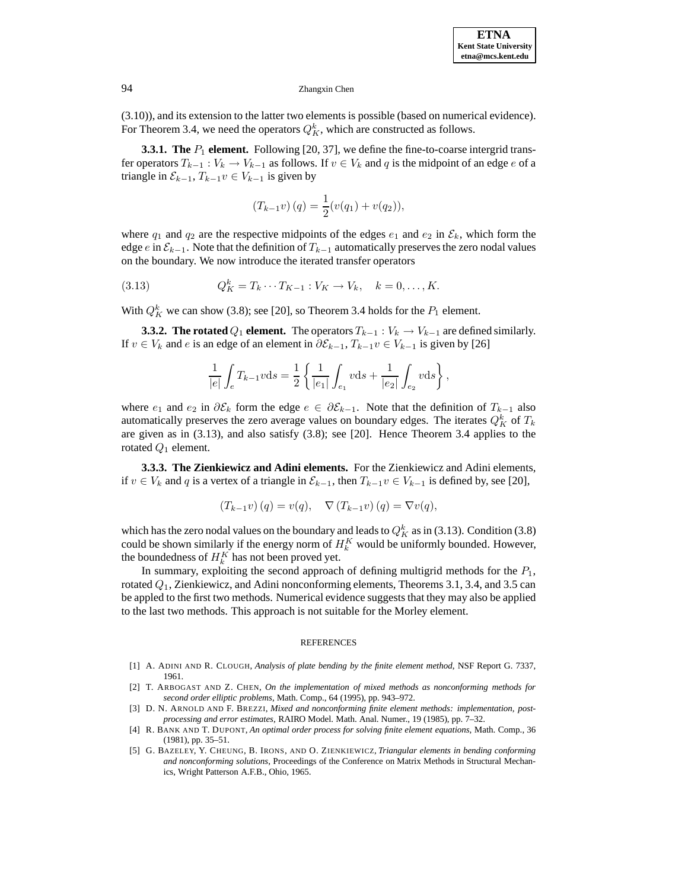(3.10)), and its extension to the latter two elements is possible (based on numerical evidence). For Theorem 3.4, we need the operators  $Q_K^k$ , which are constructed as follows.

**3.3.1. The**  $P_1$  **element.** Following [20, 37], we define the fine-to-coarse intergrid transfer operators  $T_{k-1}: V_k \to V_{k-1}$  as follows. If  $v \in V_k$  and q is the midpoint of an edge e of a triangle in  $\mathcal{E}_{k-1}, T_{k-1}v \in V_{k-1}$  is given by

$$
(T_{k-1}v)(q) = \frac{1}{2}(v(q_1) + v(q_2)),
$$

where  $q_1$  and  $q_2$  are the respective midpoints of the edges  $e_1$  and  $e_2$  in  $\mathcal{E}_k$ , which form the edge e in  $\mathcal{E}_{k-1}$ . Note that the definition of  $T_{k-1}$  automatically preserves the zero nodal values on the boundary. We now introduce the iterated transfer operators

(3.13) 
$$
Q_K^k = T_k \cdots T_{K-1} : V_K \to V_k, \quad k = 0, ..., K.
$$

With  $Q_K^k$  we can show (3.8); see [20], so Theorem 3.4 holds for the  $P_1$  element.

**3.3.2. The rotated**  $Q_1$  **element.** The operators  $T_{k-1} : V_k \to V_{k-1}$  are defined similarly. If  $v \in V_k$  and *e* is an edge of an element in  $\partial \mathcal{E}_{k-1}, T_{k-1}v \in V_{k-1}$  is given by [26]

$$
\frac{1}{|e|}\int_e T_{k-1} v \mathrm{d}s = \frac{1}{2}\left\{\frac{1}{|e_1|}\int_{e_1} v \mathrm{d}s + \frac{1}{|e_2|}\int_{e_2} v \mathrm{d}s\right\},
$$

where  $e_1$  and  $e_2$  in  $\partial \mathcal{E}_k$  form the edge  $e \in \partial \mathcal{E}_{k-1}$ . Note that the definition of  $T_{k-1}$  also automatically preserves the zero average values on boundary edges. The iterates  $Q_K^k$  of  $T_k$ are given as in (3.13), and also satisfy (3.8); see [20]. Hence Theorem 3.4 applies to the rotated  $Q_1$  element.

**3.3.3. The Zienkiewicz and Adini elements.** For the Zienkiewicz and Adini elements, if  $v \in V_k$  and q is a vertex of a triangle in  $\mathcal{E}_{k-1}$ , then  $T_{k-1}v \in V_{k-1}$  is defined by, see [20],

$$
(T_{k-1}v)(q) = v(q), \quad \nabla (T_{k-1}v)(q) = \nabla v(q),
$$

which has the zero nodal values on the boundary and leads to  $Q_K^k$  as in (3.13). Condition (3.8) could be shown similarly if the energy norm of  $H_k^K$  would be uniformly bounded. However, the boundedness of  $H_k^K$  has not been proved yet.

In summary, exploiting the second approach of defining multigrid methods for the  $P_1$ , rotated  $Q_1$ , Zienkiewicz, and Adini nonconforming elements, Theorems 3.1, 3.4, and 3.5 can be appled to the first two methods. Numerical evidence suggests that they may also be applied to the last two methods. This approach is not suitable for the Morley element.

## **REFERENCES**

- [1] A. ADINI AND R. CLOUGH, *Analysis of plate bending by the finite element method*, NSF Report G. 7337, 1961.
- [2] T. ARBOGAST AND Z. CHEN, *On the implementation of mixed methods as nonconforming methods for second order elliptic problems*, Math. Comp., 64 (1995), pp. 943–972.
- [3] D. N. ARNOLD AND F. BREZZI, *Mixed and nonconforming finite element methods: implementation, postprocessing and error estimates*, RAIRO Model. Math. Anal. Numer., 19 (1985), pp. 7–32.
- [4] R. BANK AND T. DUPONT, *An optimal order process for solving finite element equations*, Math. Comp., 36 (1981), pp. 35–51.
- [5] G. BAZELEY, Y. CHEUNG, B. IRONS, AND O. ZIENKIEWICZ, *Triangular elements in bending conforming and nonconforming solutions*, Proceedings of the Conference on Matrix Methods in Structural Mechanics, Wright Patterson A.F.B., Ohio, 1965.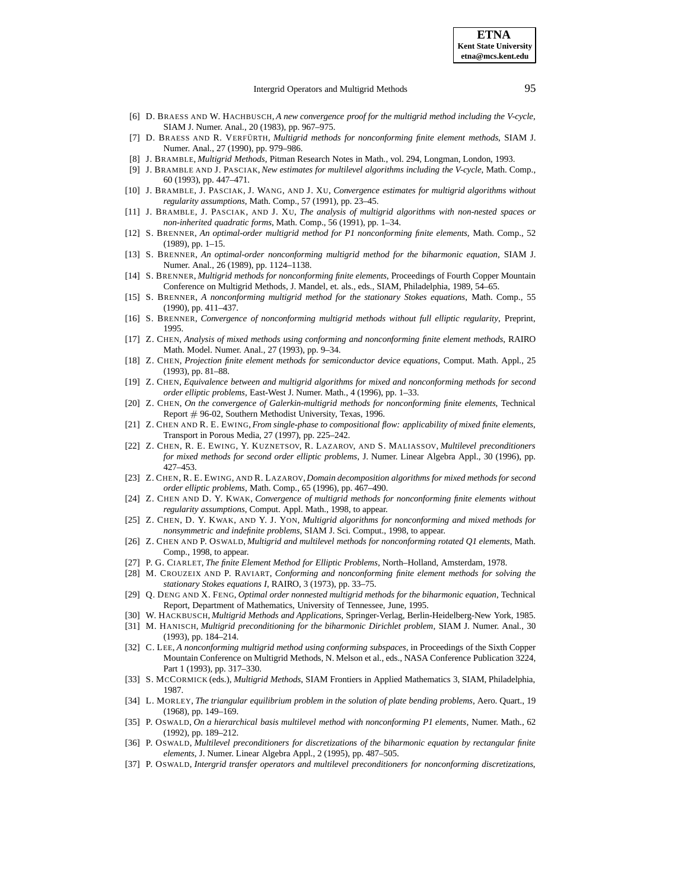- [6] D. BRAESS AND W. HACHBUSCH, *A new convergence proof for the multigrid method including the V-cycle*, SIAM J. Numer. Anal., 20 (1983), pp. 967–975.
- [7] D. BRAESS AND R. VERFÜRTH, *Multigrid methods for nonconforming finite element methods*, SIAM J. Numer. Anal., 27 (1990), pp. 979–986.
- [8] J. BRAMBLE, *Multigrid Methods*, Pitman Research Notes in Math., vol. 294, Longman, London, 1993.
- [9] J. BRAMBLE AND J. PASCIAK, *New estimates for multilevel algorithms including the V-cycle*, Math. Comp., 60 (1993), pp. 447–471.
- [10] J. BRAMBLE, J. PASCIAK, J. WANG, AND J. XU, *Convergence estimates for multigrid algorithms without regularity assumptions*, Math. Comp., 57 (1991), pp. 23–45.
- [11] J. BRAMBLE, J. PASCIAK, AND J. XU, *The analysis of multigrid algorithms with non-nested spaces or non-inherited quadratic forms*, Math. Comp., 56 (1991), pp. 1–34.
- [12] S. BRENNER, *An optimal-order multigrid method for P1 nonconforming finite elements*, Math. Comp., 52 (1989), pp. 1–15.
- [13] S. BRENNER, *An optimal-order nonconforming multigrid method for the biharmonic equation*, SIAM J. Numer. Anal., 26 (1989), pp. 1124–1138.
- [14] S. BRENNER, *Multigrid methods for nonconforming finite elements*, Proceedings of Fourth Copper Mountain Conference on Multigrid Methods, J. Mandel, et. als., eds., SIAM, Philadelphia, 1989, 54–65.
- [15] S. BRENNER, *A nonconforming multigrid method for the stationary Stokes equations*, Math. Comp., 55 (1990), pp. 411–437.
- [16] S. BRENNER, *Convergence of nonconforming multigrid methods without full elliptic regularity*, Preprint, 1995.
- [17] Z. CHEN, *Analysis of mixed methods using conforming and nonconforming finite element methods*, RAIRO Math. Model. Numer. Anal., 27 (1993), pp. 9–34.
- [18] Z. CHEN, *Projection finite element methods for semiconductor device equations*, Comput. Math. Appl., 25 (1993), pp. 81–88.
- [19] Z. CHEN, *Equivalence between and multigrid algorithms for mixed and nonconforming methods for second order elliptic problems*, East-West J. Numer. Math., 4 (1996), pp. 1–33.
- [20] Z. CHEN, *On the convergence of Galerkin-multigrid methods for nonconforming finite elements*, Technical Report # 96-02, Southern Methodist University, Texas, 1996.
- [21] Z. CHEN AND R. E. EWING, *From single-phase to compositional flow: applicability of mixed finite elements*, Transport in Porous Media, 27 (1997), pp. 225–242.
- [22] Z. CHEN, R. E. EWING, Y. KUZNETSOV, R. LAZAROV, AND S. MALIASSOV, *Multilevel preconditioners for mixed methods for second order elliptic problems*, J. Numer. Linear Algebra Appl., 30 (1996), pp. 427–453.
- [23] Z. CHEN, R. E. EWING, AND R. LAZAROV, *Domain decomposition algorithms for mixed methods for second order elliptic problems*, Math. Comp., 65 (1996), pp. 467–490.
- [24] Z. CHEN AND D. Y. KWAK, *Convergence of multigrid methods for nonconforming finite elements without regularity assumptions*, Comput. Appl. Math., 1998, to appear.
- [25] Z. CHEN, D. Y. KWAK, AND Y. J. YON, *Multigrid algorithms for nonconforming and mixed methods for nonsymmetric and indefinite problems*, SIAM J. Sci. Comput., 1998, to appear.
- [26] Z. CHEN AND P. OSWALD, *Multigrid and multilevel methods for nonconforming rotated Q1 elements*, Math. Comp., 1998, to appear.
- [27] P. G. CIARLET, *The finite Element Method for Elliptic Problems*, North–Holland, Amsterdam, 1978.
- [28] M. CROUZEIX AND P. RAVIART, *Conforming and nonconforming finite element methods for solving the stationary Stokes equations I*, RAIRO, 3 (1973), pp. 33–75.
- [29] Q. DENG AND X. FENG, *Optimal order nonnested multigrid methods for the biharmonic equation*, Technical Report, Department of Mathematics, University of Tennessee, June, 1995.
- [30] W. HACKBUSCH, *Multigrid Methods and Applications*, Springer-Verlag, Berlin-Heidelberg-New York, 1985.
- [31] M. HANISCH, *Multigrid preconditioning for the biharmonic Dirichlet problem*, SIAM J. Numer. Anal., 30 (1993), pp. 184–214.
- [32] C. LEE, *A nonconforming multigrid method using conforming subspaces*, in Proceedings of the Sixth Copper Mountain Conference on Multigrid Methods, N. Melson et al., eds., NASA Conference Publication 3224, Part 1 (1993), pp. 317–330.
- [33] S. MCCORMICK (eds.), *Multigrid Methods*, SIAM Frontiers in Applied Mathematics 3, SIAM, Philadelphia, 1987.
- [34] L. MORLEY, *The triangular equilibrium problem in the solution of plate bending problems*, Aero. Quart., 19 (1968), pp. 149–169.
- [35] P. OSWALD, *On a hierarchical basis multilevel method with nonconforming P1 elements*, Numer. Math., 62 (1992), pp. 189–212.
- [36] P. OSWALD, *Multilevel preconditioners for discretizations of the biharmonic equation by rectangular finite elements*, J. Numer. Linear Algebra Appl., 2 (1995), pp. 487–505.
- [37] P. OSWALD, *Intergrid transfer operators and multilevel preconditioners for nonconforming discretizations*,